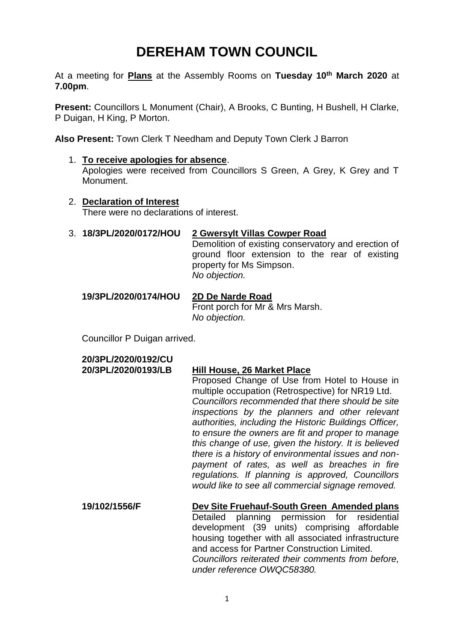# **DEREHAM TOWN COUNCIL**

At a meeting for **Plans** at the Assembly Rooms on **Tuesday 10th March 2020** at **7.00pm**.

**Present:** Councillors L Monument (Chair), A Brooks, C Bunting, H Bushell, H Clarke, P Duigan, H King, P Morton.

**Also Present:** Town Clerk T Needham and Deputy Town Clerk J Barron

- 1. **To receive apologies for absence**. Apologies were received from Councillors S Green, A Grey, K Grey and T Monument.
- 2. **Declaration of Interest** There were no declarations of interest.
- 3. **18/3PL/2020/0172/HOU 2 Gwersylt Villas Cowper Road**

Demolition of existing conservatory and erection of ground floor extension to the rear of existing property for Ms Simpson. *No objection.*

## **19/3PL/2020/0174/HOU 2D De Narde Road**

Front porch for Mr & Mrs Marsh. *No objection.*

Councillor P Duigan arrived.

**20/3PL/2020/0192/CU**

### **20/3PL/2020/0193/LB Hill House, 26 Market Place**

Proposed Change of Use from Hotel to House in multiple occupation (Retrospective) for NR19 Ltd. *Councillors recommended that there should be site inspections by the planners and other relevant authorities, including the Historic Buildings Officer, to ensure the owners are fit and proper to manage this change of use, given the history. It is believed there is a history of environmental issues and nonpayment of rates, as well as breaches in fire regulations. If planning is approved, Councillors would like to see all commercial signage removed.* 

**19/102/1556/F Dev Site Fruehauf-South Green Amended plans**  Detailed planning permission for residential development (39 units) comprising affordable housing together with all associated infrastructure and access for Partner Construction Limited. *Councillors reiterated their comments from before, under reference OWQC58380.*